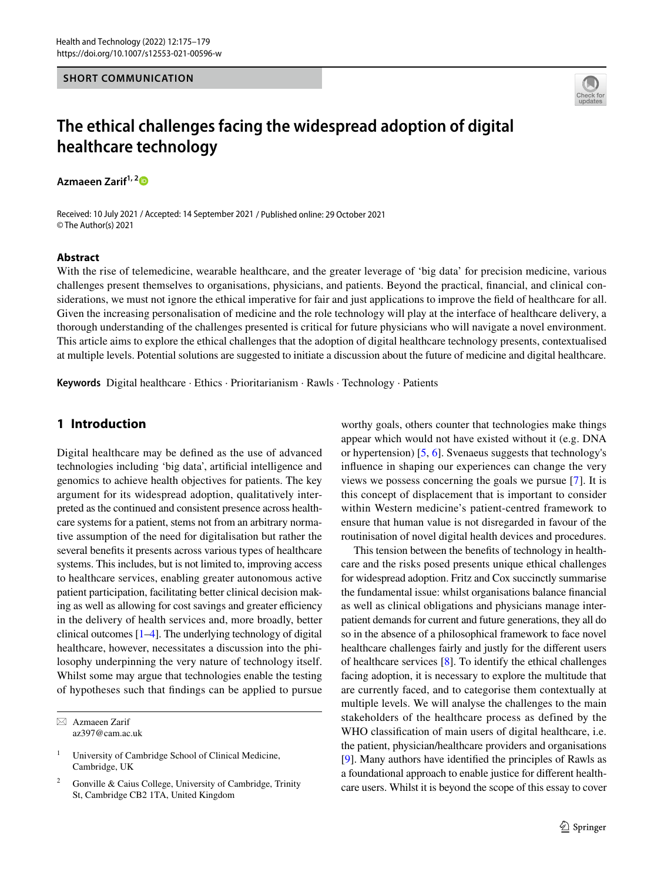#### **SHORT COMMUNICATION**



# **The ethical challenges facing the widespread adoption of digital healthcare technology**

**Azmaeen Zarif1, [2](http://orcid.org/0000-0002-1837-4460)**

Received: 10 July 2021 / Accepted: 14 September 2021 / Published online: 29 October 2021 © The Author(s) 2021

#### **Abstract**

With the rise of telemedicine, wearable healthcare, and the greater leverage of 'big data' for precision medicine, various challenges present themselves to organisations, physicians, and patients. Beyond the practical, fnancial, and clinical considerations, we must not ignore the ethical imperative for fair and just applications to improve the field of healthcare for all. Given the increasing personalisation of medicine and the role technology will play at the interface of healthcare delivery, a thorough understanding of the challenges presented is critical for future physicians who will navigate a novel environment. This article aims to explore the ethical challenges that the adoption of digital healthcare technology presents, contextualised at multiple levels. Potential solutions are suggested to initiate a discussion about the future of medicine and digital healthcare.

**Keywords** Digital healthcare · Ethics · Prioritarianism · Rawls · Technology · Patients

## **1 Introduction**

Digital healthcare may be defned as the use of advanced technologies including 'big data', artifcial intelligence and genomics to achieve health objectives for patients. The key argument for its widespread adoption, qualitatively interpreted as the continued and consistent presence across healthcare systems for a patient, stems not from an arbitrary normative assumption of the need for digitalisation but rather the several benefts it presents across various types of healthcare systems. This includes, but is not limited to, improving access to healthcare services, enabling greater autonomous active patient participation, facilitating better clinical decision making as well as allowing for cost savings and greater efficiency in the delivery of health services and, more broadly, better clinical outcomes  $[1-4]$  $[1-4]$  $[1-4]$ . The underlying technology of digital healthcare, however, necessitates a discussion into the philosophy underpinning the very nature of technology itself. Whilst some may argue that technologies enable the testing of hypotheses such that fndings can be applied to pursue

 $\boxtimes$  Azmaeen Zarif az397@cam.ac.uk worthy goals, others counter that technologies make things appear which would not have existed without it (e.g. DNA or hypertension) [[5,](#page-3-2) [6\]](#page-3-3). Svenaeus suggests that technology's infuence in shaping our experiences can change the very views we possess concerning the goals we pursue [[7\]](#page-3-4). It is this concept of displacement that is important to consider within Western medicine's patient-centred framework to ensure that human value is not disregarded in favour of the routinisation of novel digital health devices and procedures.

This tension between the benefts of technology in healthcare and the risks posed presents unique ethical challenges for widespread adoption. Fritz and Cox succinctly summarise the fundamental issue: whilst organisations balance fnancial as well as clinical obligations and physicians manage interpatient demands for current and future generations, they all do so in the absence of a philosophical framework to face novel healthcare challenges fairly and justly for the diferent users of healthcare services [[8\]](#page-3-5). To identify the ethical challenges facing adoption, it is necessary to explore the multitude that are currently faced, and to categorise them contextually at multiple levels. We will analyse the challenges to the main stakeholders of the healthcare process as defined by the WHO classifcation of main users of digital healthcare, i.e. the patient, physician/healthcare providers and organisations [\[9](#page-3-6)]. Many authors have identifed the principles of Rawls as a foundational approach to enable justice for diferent healthcare users. Whilst it is beyond the scope of this essay to cover

<sup>&</sup>lt;sup>1</sup> University of Cambridge School of Clinical Medicine, Cambridge, UK

<sup>2</sup> Gonville & Caius College, University of Cambridge, Trinity St, Cambridge CB2 1TA, United Kingdom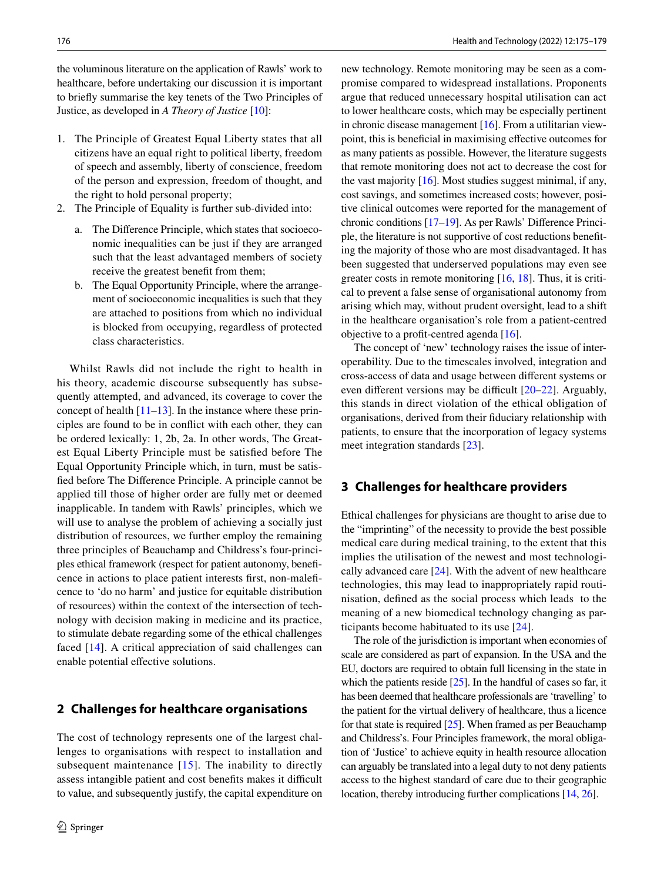the voluminous literature on the application of Rawls' work to healthcare, before undertaking our discussion it is important to briefy summarise the key tenets of the Two Principles of Justice, as developed in *A Theory of Justice* [[10](#page-3-7)]:

- 1. The Principle of Greatest Equal Liberty states that all citizens have an equal right to political liberty, freedom of speech and assembly, liberty of conscience, freedom of the person and expression, freedom of thought, and the right to hold personal property;
- 2. The Principle of Equality is further sub-divided into:
	- a. The Diference Principle, which states that socioeconomic inequalities can be just if they are arranged such that the least advantaged members of society receive the greatest beneft from them;
	- b. The Equal Opportunity Principle, where the arrangement of socioeconomic inequalities is such that they are attached to positions from which no individual is blocked from occupying, regardless of protected class characteristics.

Whilst Rawls did not include the right to health in his theory, academic discourse subsequently has subsequently attempted, and advanced, its coverage to cover the concept of health  $[11-13]$  $[11-13]$ . In the instance where these principles are found to be in confict with each other, they can be ordered lexically: 1, 2b, 2a. In other words, The Greatest Equal Liberty Principle must be satisfed before The Equal Opportunity Principle which, in turn, must be satisfed before The Diference Principle. A principle cannot be applied till those of higher order are fully met or deemed inapplicable. In tandem with Rawls' principles, which we will use to analyse the problem of achieving a socially just distribution of resources, we further employ the remaining three principles of Beauchamp and Childress's four-principles ethical framework (respect for patient autonomy, benefcence in actions to place patient interests frst, non-malefcence to 'do no harm' and justice for equitable distribution of resources) within the context of the intersection of technology with decision making in medicine and its practice, to stimulate debate regarding some of the ethical challenges faced [[14](#page-3-10)]. A critical appreciation of said challenges can enable potential efective solutions.

## **2 Challenges for healthcare organisations**

The cost of technology represents one of the largest challenges to organisations with respect to installation and subsequent maintenance [\[15\]](#page-3-11). The inability to directly assess intangible patient and cost benefits makes it difficult to value, and subsequently justify, the capital expenditure on new technology. Remote monitoring may be seen as a compromise compared to widespread installations. Proponents argue that reduced unnecessary hospital utilisation can act to lower healthcare costs, which may be especially pertinent in chronic disease management [[16\]](#page-3-12). From a utilitarian viewpoint, this is benefcial in maximising efective outcomes for as many patients as possible. However, the literature suggests that remote monitoring does not act to decrease the cost for the vast majority  $[16]$  $[16]$ . Most studies suggest minimal, if any, cost savings, and sometimes increased costs; however, positive clinical outcomes were reported for the management of chronic conditions [\[17–](#page-3-13)[19\]](#page-3-14). As per Rawls' Diference Principle, the literature is not supportive of cost reductions benefting the majority of those who are most disadvantaged. It has been suggested that underserved populations may even see greater costs in remote monitoring  $[16, 18]$  $[16, 18]$  $[16, 18]$  $[16, 18]$ . Thus, it is critical to prevent a false sense of organisational autonomy from arising which may, without prudent oversight, lead to a shift in the healthcare organisation's role from a patient-centred objective to a proft-centred agenda [[16\]](#page-3-12).

The concept of 'new' technology raises the issue of interoperability. Due to the timescales involved, integration and cross-access of data and usage between diferent systems or even different versions may be difficult  $[20-22]$  $[20-22]$ . Arguably, this stands in direct violation of the ethical obligation of organisations, derived from their fduciary relationship with patients, to ensure that the incorporation of legacy systems meet integration standards [[23\]](#page-3-18).

# **3 Challenges for healthcare providers**

Ethical challenges for physicians are thought to arise due to the "imprinting" of the necessity to provide the best possible medical care during medical training, to the extent that this implies the utilisation of the newest and most technologically advanced care [[24\]](#page-3-19). With the advent of new healthcare technologies, this may lead to inappropriately rapid routinisation, defned as the social process which leads to the meaning of a new biomedical technology changing as participants become habituated to its use [[24](#page-3-19)].

The role of the jurisdiction is important when economies of scale are considered as part of expansion. In the USA and the EU, doctors are required to obtain full licensing in the state in which the patients reside [[25](#page-3-20)]. In the handful of cases so far, it has been deemed that healthcare professionals are 'travelling' to the patient for the virtual delivery of healthcare, thus a licence for that state is required  $[25]$  $[25]$ . When framed as per Beauchamp and Childress's. Four Principles framework, the moral obligation of 'Justice' to achieve equity in health resource allocation can arguably be translated into a legal duty to not deny patients access to the highest standard of care due to their geographic location, thereby introducing further complications [[14](#page-3-10), [26\]](#page-4-0).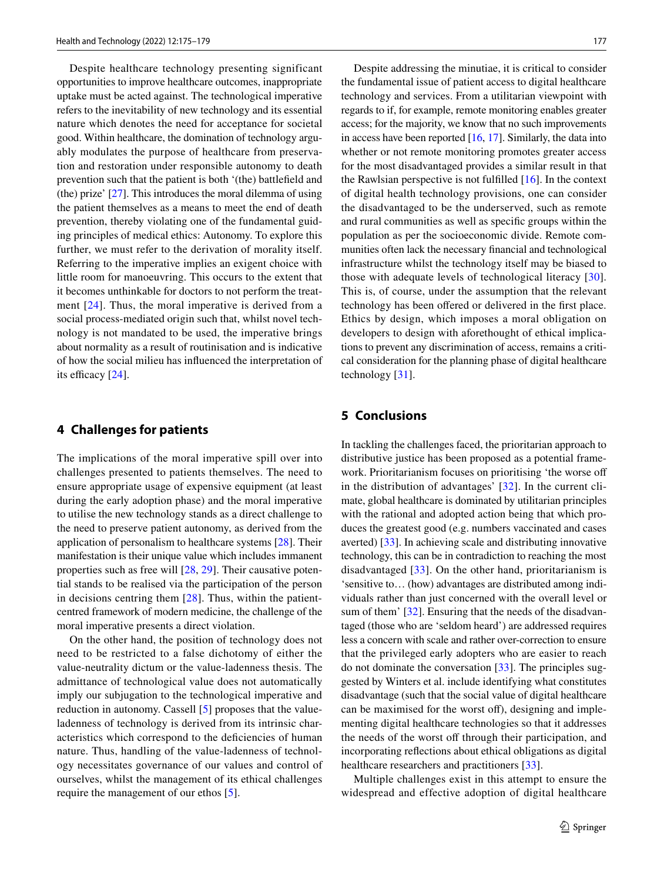Despite healthcare technology presenting significant opportunities to improve healthcare outcomes, inappropriate uptake must be acted against. The technological imperative refers to the inevitability of new technology and its essential nature which denotes the need for acceptance for societal good. Within healthcare, the domination of technology arguably modulates the purpose of healthcare from preservation and restoration under responsible autonomy to death prevention such that the patient is both '(the) battlefeld and (the) prize' [\[27](#page-4-1)]. This introduces the moral dilemma of using the patient themselves as a means to meet the end of death prevention, thereby violating one of the fundamental guiding principles of medical ethics: Autonomy. To explore this further, we must refer to the derivation of morality itself. Referring to the imperative implies an exigent choice with little room for manoeuvring. This occurs to the extent that it becomes unthinkable for doctors to not perform the treatment [[24\]](#page-3-19). Thus, the moral imperative is derived from a social process-mediated origin such that, whilst novel technology is not mandated to be used, the imperative brings about normality as a result of routinisation and is indicative of how the social milieu has infuenced the interpretation of its efficacy [\[24](#page-3-19)].

#### **4 Challenges for patients**

The implications of the moral imperative spill over into challenges presented to patients themselves. The need to ensure appropriate usage of expensive equipment (at least during the early adoption phase) and the moral imperative to utilise the new technology stands as a direct challenge to the need to preserve patient autonomy, as derived from the application of personalism to healthcare systems [\[28](#page-4-2)]. Their manifestation is their unique value which includes immanent properties such as free will [[28,](#page-4-2) [29\]](#page-4-3). Their causative potential stands to be realised via the participation of the person in decisions centring them  $[28]$ . Thus, within the patientcentred framework of modern medicine, the challenge of the moral imperative presents a direct violation.

On the other hand, the position of technology does not need to be restricted to a false dichotomy of either the value-neutrality dictum or the value-ladenness thesis. The admittance of technological value does not automatically imply our subjugation to the technological imperative and reduction in autonomy. Cassell [[5\]](#page-3-2) proposes that the valueladenness of technology is derived from its intrinsic characteristics which correspond to the defciencies of human nature. Thus, handling of the value-ladenness of technology necessitates governance of our values and control of ourselves, whilst the management of its ethical challenges require the management of our ethos [[5\]](#page-3-2).

Despite addressing the minutiae, it is critical to consider the fundamental issue of patient access to digital healthcare technology and services. From a utilitarian viewpoint with regards to if, for example, remote monitoring enables greater access; for the majority, we know that no such improvements in access have been reported  $[16, 17]$  $[16, 17]$  $[16, 17]$  $[16, 17]$ . Similarly, the data into whether or not remote monitoring promotes greater access for the most disadvantaged provides a similar result in that the Rawlsian perspective is not fulflled [[16\]](#page-3-12). In the context of digital health technology provisions, one can consider the disadvantaged to be the underserved, such as remote and rural communities as well as specifc groups within the population as per the socioeconomic divide. Remote communities often lack the necessary fnancial and technological infrastructure whilst the technology itself may be biased to those with adequate levels of technological literacy [[30](#page-4-4)]. This is, of course, under the assumption that the relevant technology has been offered or delivered in the first place. Ethics by design, which imposes a moral obligation on developers to design with aforethought of ethical implications to prevent any discrimination of access, remains a critical consideration for the planning phase of digital healthcare technology [[31\]](#page-4-5).

# **5 Conclusions**

In tackling the challenges faced, the prioritarian approach to distributive justice has been proposed as a potential framework. Prioritarianism focuses on prioritising 'the worse of in the distribution of advantages' [[32](#page-4-6)]. In the current climate, global healthcare is dominated by utilitarian principles with the rational and adopted action being that which produces the greatest good (e.g. numbers vaccinated and cases averted) [\[33](#page-4-7)]. In achieving scale and distributing innovative technology, this can be in contradiction to reaching the most disadvantaged [\[33\]](#page-4-7). On the other hand, prioritarianism is 'sensitive to… (how) advantages are distributed among individuals rather than just concerned with the overall level or sum of them' [\[32](#page-4-6)]. Ensuring that the needs of the disadvantaged (those who are 'seldom heard') are addressed requires less a concern with scale and rather over-correction to ensure that the privileged early adopters who are easier to reach do not dominate the conversation [[33](#page-4-7)]. The principles suggested by Winters et al. include identifying what constitutes disadvantage (such that the social value of digital healthcare can be maximised for the worst off), designing and implementing digital healthcare technologies so that it addresses the needs of the worst off through their participation, and incorporating refections about ethical obligations as digital healthcare researchers and practitioners [\[33](#page-4-7)].

Multiple challenges exist in this attempt to ensure the widespread and effective adoption of digital healthcare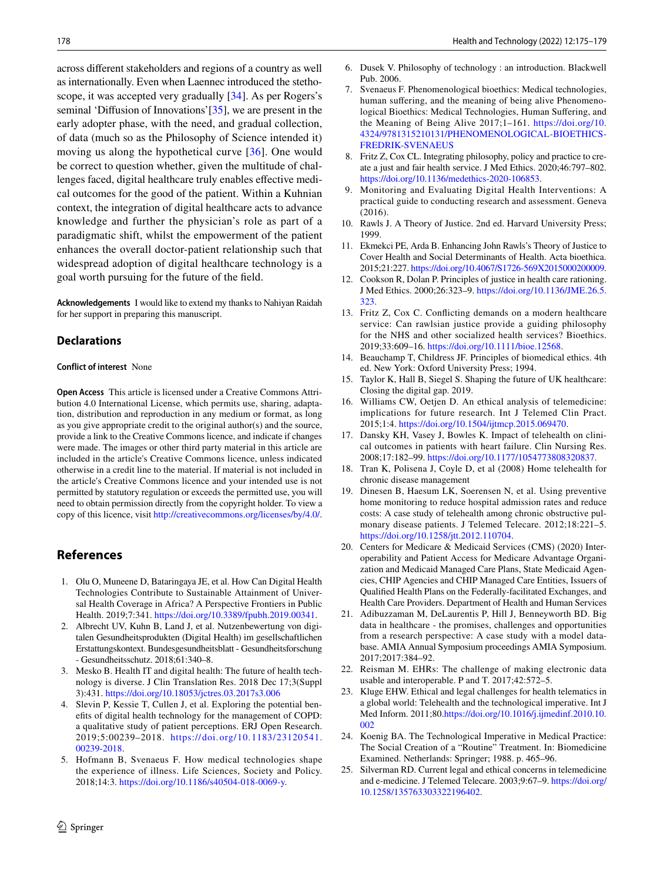<span id="page-3-5"></span><span id="page-3-4"></span><span id="page-3-3"></span>across diferent stakeholders and regions of a country as well as internationally. Even when Laennec introduced the stethoscope, it was accepted very gradually [[34](#page-4-8)]. As per Rogers's seminal 'Diffusion of Innovations' [\[35](#page-4-9)], we are present in the early adopter phase, with the need, and gradual collection, of data (much so as the Philosophy of Science intended it) moving us along the hypothetical curve [[36](#page-4-10)]. One would be correct to question whether, given the multitude of challenges faced, digital healthcare truly enables effective medical outcomes for the good of the patient. Within a Kuhnian context, the integration of digital healthcare acts to advance knowledge and further the physician's role as part of a paradigmatic shift, whilst the empowerment of the patient enhances the overall doctor-patient relationship such that widespread adoption of digital healthcare technology is a goal worth pursuing for the future of the feld.

<span id="page-3-9"></span><span id="page-3-8"></span><span id="page-3-7"></span><span id="page-3-6"></span>**Acknowledgements** I would like to extend my thanks to Nahiyan Raidah for her support in preparing this manuscript.

#### **Declarations**

#### <span id="page-3-11"></span><span id="page-3-10"></span>**Conflict of interest** None

<span id="page-3-15"></span><span id="page-3-13"></span><span id="page-3-12"></span>**Open Access** This article is licensed under a Creative Commons Attribution 4.0 International License, which permits use, sharing, adaptation, distribution and reproduction in any medium or format, as long as you give appropriate credit to the original author(s) and the source, provide a link to the Creative Commons licence, and indicate if changes were made. The images or other third party material in this article are included in the article's Creative Commons licence, unless indicated otherwise in a credit line to the material. If material is not included in the article's Creative Commons licence and your intended use is not permitted by statutory regulation or exceeds the permitted use, you will need to obtain permission directly from the copyright holder. To view a copy of this licence, visit <http://creativecommons.org/licenses/by/4.0/>.

#### <span id="page-3-14"></span>**References**

- <span id="page-3-16"></span><span id="page-3-0"></span>1. Olu O, Muneene D, Bataringaya JE, et al. How Can Digital Health Technologies Contribute to Sustainable Attainment of Universal Health Coverage in Africa? A Perspective Frontiers in Public Health. 2019;7:341. [https://doi.org/10.3389/fpubh.2019.00341.](https://doi.org/10.3389/fpubh.2019.00341)
- 2. Albrecht UV, Kuhn B, Land J, et al. Nutzenbewertung von digitalen Gesundheitsprodukten (Digital Health) im gesellschaftlichen Erstattungskontext. Bundesgesundheitsblatt - Gesundheitsforschung - Gesundheitsschutz. 2018;61:340–8.
- <span id="page-3-17"></span>3. Mesko B. Health IT and digital health: The future of health technology is diverse. J Clin Translation Res. 2018 Dec 17;3(Suppl 3):431. <https://doi.org/10.18053/jctres.03.2017s3.006>
- <span id="page-3-18"></span><span id="page-3-1"></span>4. Slevin P, Kessie T, Cullen J, et al. Exploring the potential benefts of digital health technology for the management of COPD: a qualitative study of patient perceptions. ERJ Open Research. 2019;5:00239–2018. [https://doi.org/10.1183/23120541.](https://doi.org/10.1183/23120541.00239-2018) [00239-2018.](https://doi.org/10.1183/23120541.00239-2018)
- <span id="page-3-20"></span><span id="page-3-19"></span><span id="page-3-2"></span>5. Hofmann B, Svenaeus F. How medical technologies shape the experience of illness. Life Sciences, Society and Policy. 2018;14:3.<https://doi.org/10.1186/s40504-018-0069-y>.
- 178 Health and Technology (2022) 12:175–179
	- 6. Dusek V. Philosophy of technology : an introduction. Blackwell Pub. 2006.
	- 7. Svenaeus F. Phenomenological bioethics: Medical technologies, human sufering, and the meaning of being alive Phenomenological Bioethics: Medical Technologies, Human Sufering, and the Meaning of Being Alive 2017;1–161. [https://doi.org/10.](https://doi.org/10.4324/9781315210131/PHENOMENOLOGICAL-BIOETHICS-FREDRIK-SVENAEUS) [4324/9781315210131/PHENOMENOLOGICAL-BIOETHICS-](https://doi.org/10.4324/9781315210131/PHENOMENOLOGICAL-BIOETHICS-FREDRIK-SVENAEUS)[FREDRIK-SVENAEUS](https://doi.org/10.4324/9781315210131/PHENOMENOLOGICAL-BIOETHICS-FREDRIK-SVENAEUS)
	- 8. Fritz Z, Cox CL. Integrating philosophy, policy and practice to create a just and fair health service. J Med Ethics. 2020;46:797–802. <https://doi.org/10.1136/medethics-2020-106853>.
	- 9. Monitoring and Evaluating Digital Health Interventions: A practical guide to conducting research and assessment. Geneva (2016).
	- 10. Rawls J. A Theory of Justice. 2nd ed. Harvard University Press; 1999.
	- 11. Ekmekci PE, Arda B. Enhancing John Rawls's Theory of Justice to Cover Health and Social Determinants of Health. Acta bioethica. 2015;21:227.<https://doi.org/10.4067/S1726-569X2015000200009>.
	- 12. Cookson R, Dolan P. Principles of justice in health care rationing. J Med Ethics. 2000;26:323–9. [https://doi.org/10.1136/JME.26.5.](https://doi.org/10.1136/JME.26.5.323) [323](https://doi.org/10.1136/JME.26.5.323).
	- 13. Fritz Z, Cox C. Conficting demands on a modern healthcare service: Can rawlsian justice provide a guiding philosophy for the NHS and other socialized health services? Bioethics. 2019;33:609–16. <https://doi.org/10.1111/bioe.12568>.
	- 14. Beauchamp T, Childress JF. Principles of biomedical ethics. 4th ed. New York: Oxford University Press; 1994.
	- 15. Taylor K, Hall B, Siegel S. Shaping the future of UK healthcare: Closing the digital gap. 2019.
	- 16. Williams CW, Oetjen D. An ethical analysis of telemedicine: implications for future research. Int J Telemed Clin Pract. 2015;1:4.<https://doi.org/10.1504/ijtmcp.2015.069470>.
	- 17. Dansky KH, Vasey J, Bowles K. Impact of telehealth on clinical outcomes in patients with heart failure. Clin Nursing Res. 2008;17:182–99. [https://doi.org/10.1177/1054773808320837.](https://doi.org/10.1177/1054773808320837)
	- 18. Tran K, Polisena J, Coyle D, et al (2008) Home telehealth for chronic disease management
	- 19. Dinesen B, Haesum LK, Soerensen N, et al. Using preventive home monitoring to reduce hospital admission rates and reduce costs: A case study of telehealth among chronic obstructive pulmonary disease patients. J Telemed Telecare. 2012;18:221–5. [https://doi.org/10.1258/jtt.2012.110704.](https://doi.org/10.1258/jtt.2012.110704)
	- 20. Centers for Medicare & Medicaid Services (CMS) (2020) Interoperability and Patient Access for Medicare Advantage Organization and Medicaid Managed Care Plans, State Medicaid Agencies, CHIP Agencies and CHIP Managed Care Entities, Issuers of Qualifed Health Plans on the Federally-facilitated Exchanges, and Health Care Providers. Department of Health and Human Services
	- 21. Adibuzzaman M, DeLaurentis P, Hill J, Benneyworth BD. Big data in healthcare - the promises, challenges and opportunities from a research perspective: A case study with a model database. AMIA Annual Symposium proceedings AMIA Symposium. 2017;2017:384–92.
	- 22. Reisman M. EHRs: The challenge of making electronic data usable and interoperable. P and T. 2017;42:572–5.
	- 23. Kluge EHW. Ethical and legal challenges for health telematics in a global world: Telehealth and the technological imperative. Int J Med Inform. 2011;80.[https://doi.org/10.1016/j.ijmedinf.2010.10.](https://doi.org/10.1016/j.ijmedinf.2010.10.002) [002](https://doi.org/10.1016/j.ijmedinf.2010.10.002)
	- 24. Koenig BA. The Technological Imperative in Medical Practice: The Social Creation of a "Routine" Treatment. In: Biomedicine Examined. Netherlands: Springer; 1988. p. 465–96.
	- 25. Silverman RD. Current legal and ethical concerns in telemedicine and e-medicine. J Telemed Telecare. 2003;9:67–9. [https://doi.org/](https://doi.org/10.1258/135763303322196402) [10.1258/135763303322196402.](https://doi.org/10.1258/135763303322196402)